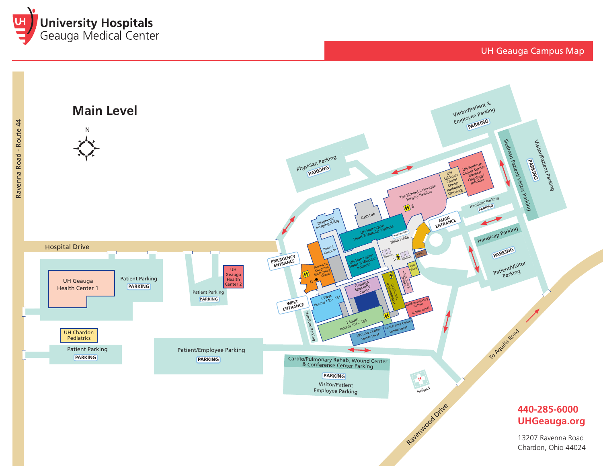



## **440-285-6000 UHGeauga.org**

UH Geauga Campus Map

13207 Ravenna Road Chardon, Ohio 44024